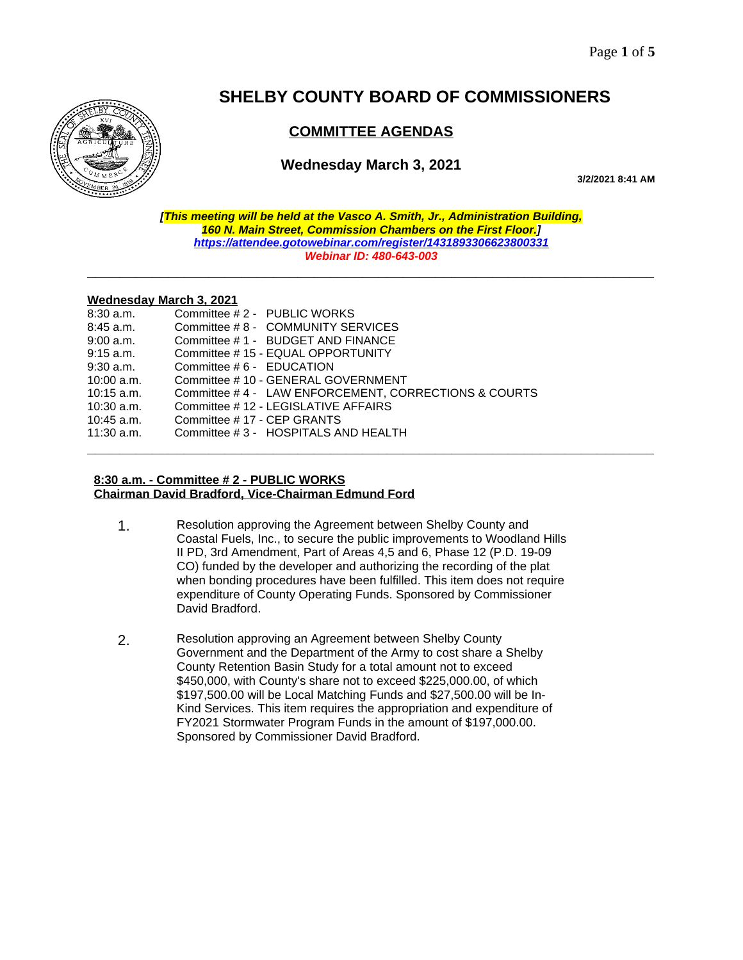

# **SHELBY COUNTY BOARD OF COMMISSIONERS**

# **COMMITTEE AGENDAS**

## **Wednesday March 3, 2021**

**3/2/2021 8:41 AM**

*[This meeting will be held at the Vasco A. Smith, Jr., Administration Building, 160 N. Main Street, Commission Chambers on the First Floor.] <https://attendee.gotowebinar.com/register/1431893306623800331> Webinar ID: 480-643-003*

**\_\_\_\_\_\_\_\_\_\_\_\_\_\_\_\_\_\_\_\_\_\_\_\_\_\_\_\_\_\_\_\_\_\_\_\_\_\_\_\_\_\_\_\_\_\_\_\_\_\_\_\_\_\_\_\_\_\_\_\_\_\_\_\_\_\_\_\_\_\_**

#### **Wednesday March 3, 2021**

| $8:30$ a.m.  | Committee #2 - PUBLIC WORKS                          |
|--------------|------------------------------------------------------|
| $8:45$ a.m.  | Committee #8 - COMMUNITY SERVICES                    |
| $9:00$ a.m.  | Committee #1 - BUDGET AND FINANCE                    |
| $9:15$ a.m.  | Committee #15 - EQUAL OPPORTUNITY                    |
| $9:30$ a.m.  | Committee # 6 - EDUCATION                            |
| $10:00$ a.m. | Committee #10 - GENERAL GOVERNMENT                   |
| $10:15$ a.m. | Committee #4 - LAW ENFORCEMENT, CORRECTIONS & COURTS |
| $10:30$ a.m. | Committee #12 - LEGISLATIVE AFFAIRS                  |
| $10:45$ a.m. | Committee #17 - CEP GRANTS                           |
| $11:30$ a.m. | Committee #3 - HOSPITALS AND HEALTH                  |
|              |                                                      |

#### **8:30 a.m. - Committee # 2 - PUBLIC WORKS Chairman David Bradford, Vice-Chairman Edmund Ford**

- 1. Resolution approving the Agreement between Shelby County and Coastal Fuels, Inc., to secure the public improvements to Woodland Hills II PD, 3rd Amendment, Part of Areas 4,5 and 6, Phase 12 (P.D. 19-09 CO) funded by the developer and authorizing the recording of the plat when bonding procedures have been fulfilled. This item does not require expenditure of County Operating Funds. Sponsored by Commissioner David Bradford.
- 2. Resolution approving an Agreement between Shelby County Government and the Department of the Army to cost share a Shelby County Retention Basin Study for a total amount not to exceed \$450,000, with County's share not to exceed \$225,000.00, of which \$197,500.00 will be Local Matching Funds and \$27,500.00 will be In-Kind Services. This item requires the appropriation and expenditure of FY2021 Stormwater Program Funds in the amount of \$197,000.00. Sponsored by Commissioner David Bradford.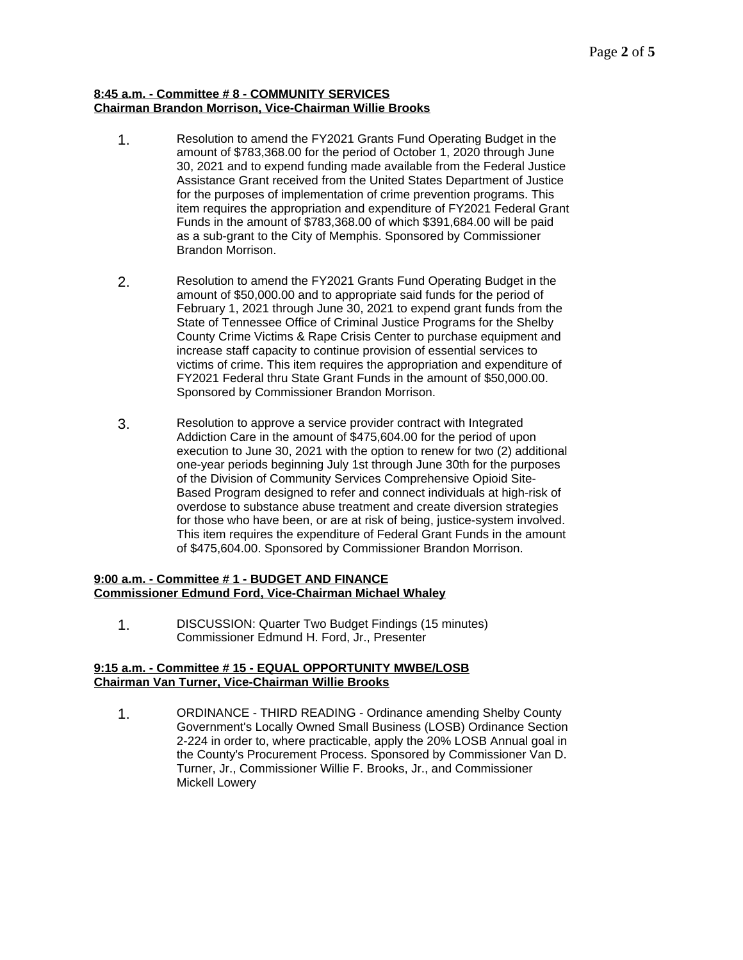#### **8:45 a.m. - Committee # 8 - COMMUNITY SERVICES Chairman Brandon Morrison, Vice-Chairman Willie Brooks**

- 1. Resolution to amend the FY2021 Grants Fund Operating Budget in the amount of \$783,368.00 for the period of October 1, 2020 through June 30, 2021 and to expend funding made available from the Federal Justice Assistance Grant received from the United States Department of Justice for the purposes of implementation of crime prevention programs. This item requires the appropriation and expenditure of FY2021 Federal Grant Funds in the amount of \$783,368.00 of which \$391,684.00 will be paid as a sub-grant to the City of Memphis. Sponsored by Commissioner Brandon Morrison.
- 2. Resolution to amend the FY2021 Grants Fund Operating Budget in the amount of \$50,000.00 and to appropriate said funds for the period of February 1, 2021 through June 30, 2021 to expend grant funds from the State of Tennessee Office of Criminal Justice Programs for the Shelby County Crime Victims & Rape Crisis Center to purchase equipment and increase staff capacity to continue provision of essential services to victims of crime. This item requires the appropriation and expenditure of FY2021 Federal thru State Grant Funds in the amount of \$50,000.00. Sponsored by Commissioner Brandon Morrison.
- 3. Resolution to approve a service provider contract with Integrated Addiction Care in the amount of \$475,604.00 for the period of upon execution to June 30, 2021 with the option to renew for two (2) additional one-year periods beginning July 1st through June 30th for the purposes of the Division of Community Services Comprehensive Opioid Site-Based Program designed to refer and connect individuals at high-risk of overdose to substance abuse treatment and create diversion strategies for those who have been, or are at risk of being, justice-system involved. This item requires the expenditure of Federal Grant Funds in the amount of \$475,604.00. Sponsored by Commissioner Brandon Morrison.

### **9:00 a.m. - Committee # 1 - BUDGET AND FINANCE Commissioner Edmund Ford, Vice-Chairman Michael Whaley**

1. DISCUSSION: Quarter Two Budget Findings (15 minutes) Commissioner Edmund H. Ford, Jr., Presenter

#### **9:15 a.m. - Committee # 15 - EQUAL OPPORTUNITY MWBE/LOSB Chairman Van Turner, Vice-Chairman Willie Brooks**

1. ORDINANCE - THIRD READING - Ordinance amending Shelby County Government's Locally Owned Small Business (LOSB) Ordinance Section 2-224 in order to, where practicable, apply the 20% LOSB Annual goal in the County's Procurement Process. Sponsored by Commissioner Van D. Turner, Jr., Commissioner Willie F. Brooks, Jr., and Commissioner Mickell Lowery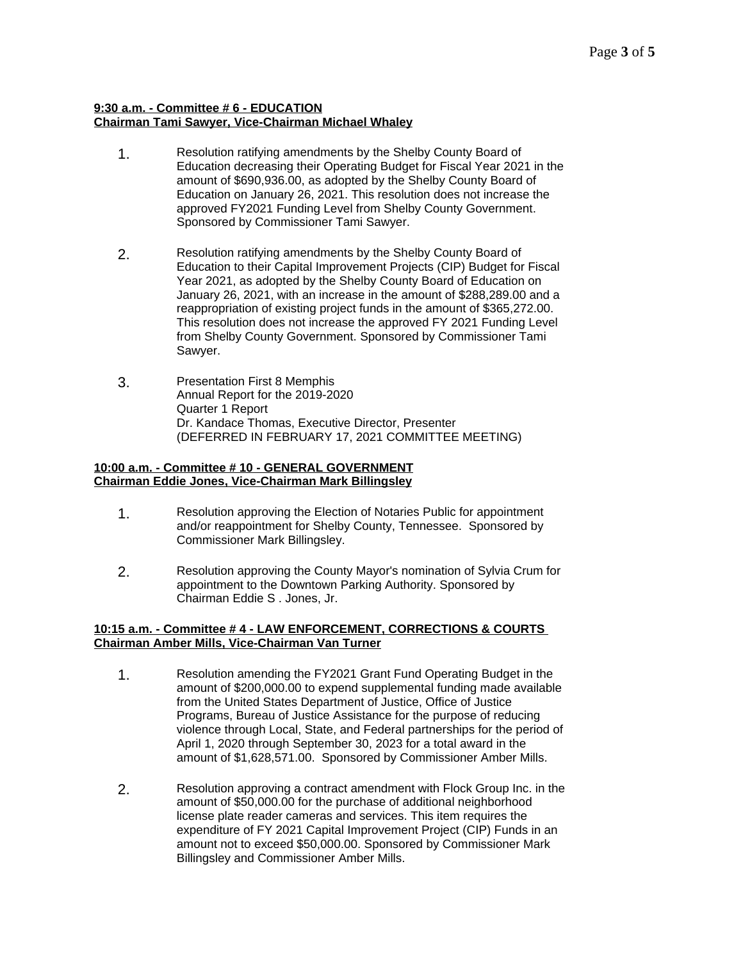#### **9:30 a.m. - Committee # 6 - EDUCATION Chairman Tami Sawyer, Vice-Chairman Michael Whaley**

- 1. Resolution ratifying amendments by the Shelby County Board of Education decreasing their Operating Budget for Fiscal Year 2021 in the amount of \$690,936.00, as adopted by the Shelby County Board of Education on January 26, 2021. This resolution does not increase the approved FY2021 Funding Level from Shelby County Government. Sponsored by Commissioner Tami Sawyer.
- 2. Resolution ratifying amendments by the Shelby County Board of Education to their Capital Improvement Projects (CIP) Budget for Fiscal Year 2021, as adopted by the Shelby County Board of Education on January 26, 2021, with an increase in the amount of \$288,289.00 and a reappropriation of existing project funds in the amount of \$365,272.00. This resolution does not increase the approved FY 2021 Funding Level from Shelby County Government. Sponsored by Commissioner Tami Sawyer.
- 3. Presentation First 8 Memphis Annual Report for the 2019-2020 Quarter 1 Report Dr. Kandace Thomas, Executive Director, Presenter (DEFERRED IN FEBRUARY 17, 2021 COMMITTEE MEETING)

#### **10:00 a.m. - Committee # 10 - GENERAL GOVERNMENT Chairman Eddie Jones, Vice-Chairman Mark Billingsley**

- 1. Resolution approving the Election of Notaries Public for appointment and/or reappointment for Shelby County, Tennessee. Sponsored by Commissioner Mark Billingsley.
- 2. Resolution approving the County Mayor's nomination of Sylvia Crum for appointment to the Downtown Parking Authority. Sponsored by Chairman Eddie S . Jones, Jr.

#### **10:15 a.m. - Committee # 4 - LAW ENFORCEMENT, CORRECTIONS & COURTS Chairman Amber Mills, Vice-Chairman Van Turner**

- 1. Resolution amending the FY2021 Grant Fund Operating Budget in the amount of \$200,000.00 to expend supplemental funding made available from the United States Department of Justice, Office of Justice Programs, Bureau of Justice Assistance for the purpose of reducing violence through Local, State, and Federal partnerships for the period of April 1, 2020 through September 30, 2023 for a total award in the amount of \$1,628,571.00. Sponsored by Commissioner Amber Mills.
- 2. Resolution approving a contract amendment with Flock Group Inc. in the amount of \$50,000.00 for the purchase of additional neighborhood license plate reader cameras and services. This item requires the expenditure of FY 2021 Capital Improvement Project (CIP) Funds in an amount not to exceed \$50,000.00. Sponsored by Commissioner Mark Billingsley and Commissioner Amber Mills.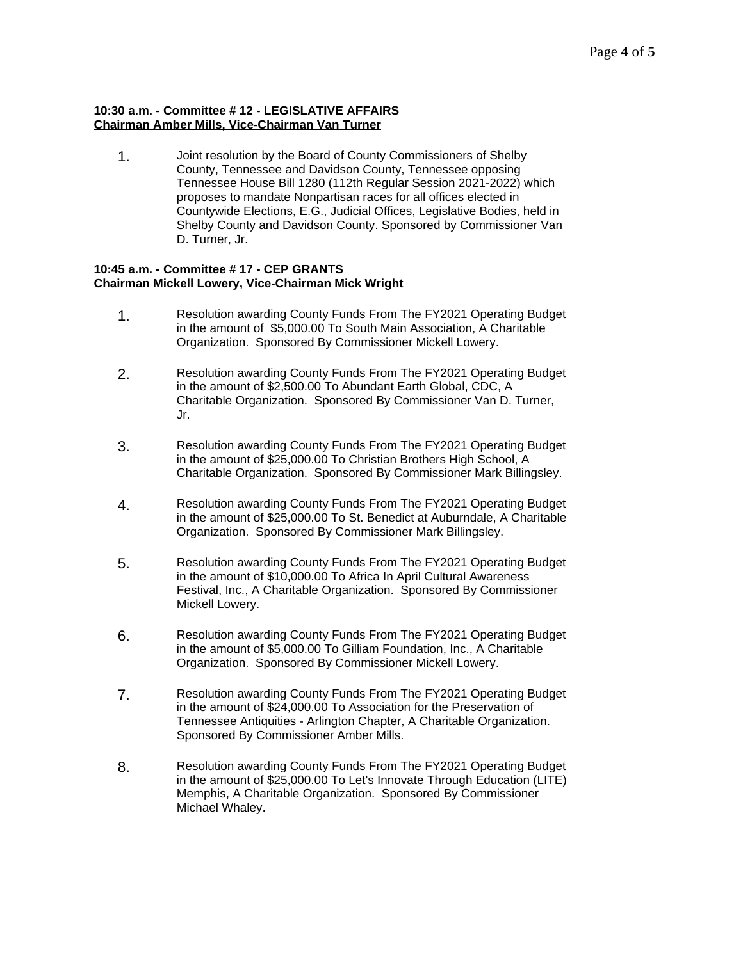### **10:30 a.m. - Committee # 12 - LEGISLATIVE AFFAIRS Chairman Amber Mills, Vice-Chairman Van Turner**

1. Joint resolution by the Board of County Commissioners of Shelby County, Tennessee and Davidson County, Tennessee opposing Tennessee House Bill 1280 (112th Regular Session 2021-2022) which proposes to mandate Nonpartisan races for all offices elected in Countywide Elections, E.G., Judicial Offices, Legislative Bodies, held in Shelby County and Davidson County. Sponsored by Commissioner Van D. Turner, Jr.

#### **10:45 a.m. - Committee # 17 - CEP GRANTS Chairman Mickell Lowery, Vice-Chairman Mick Wright**

- 1. Resolution awarding County Funds From The FY2021 Operating Budget in the amount of \$5,000.00 To South Main Association, A Charitable Organization. Sponsored By Commissioner Mickell Lowery.
- 2. Resolution awarding County Funds From The FY2021 Operating Budget in the amount of \$2,500.00 To Abundant Earth Global, CDC, A Charitable Organization. Sponsored By Commissioner Van D. Turner, Jr.
- 3. Resolution awarding County Funds From The FY2021 Operating Budget in the amount of \$25,000.00 To Christian Brothers High School, A Charitable Organization. Sponsored By Commissioner Mark Billingsley.
- 4. Resolution awarding County Funds From The FY2021 Operating Budget in the amount of \$25,000.00 To St. Benedict at Auburndale, A Charitable Organization. Sponsored By Commissioner Mark Billingsley.
- 5. Resolution awarding County Funds From The FY2021 Operating Budget in the amount of \$10,000.00 To Africa In April Cultural Awareness Festival, Inc., A Charitable Organization. Sponsored By Commissioner Mickell Lowery.
- 6. Resolution awarding County Funds From The FY2021 Operating Budget in the amount of \$5,000.00 To Gilliam Foundation, Inc., A Charitable Organization. Sponsored By Commissioner Mickell Lowery.
- 7. Resolution awarding County Funds From The FY2021 Operating Budget in the amount of \$24,000.00 To Association for the Preservation of Tennessee Antiquities - Arlington Chapter, A Charitable Organization. Sponsored By Commissioner Amber Mills.
- 8. Resolution awarding County Funds From The FY2021 Operating Budget in the amount of \$25,000.00 To Let's Innovate Through Education (LITE) Memphis, A Charitable Organization. Sponsored By Commissioner Michael Whaley.